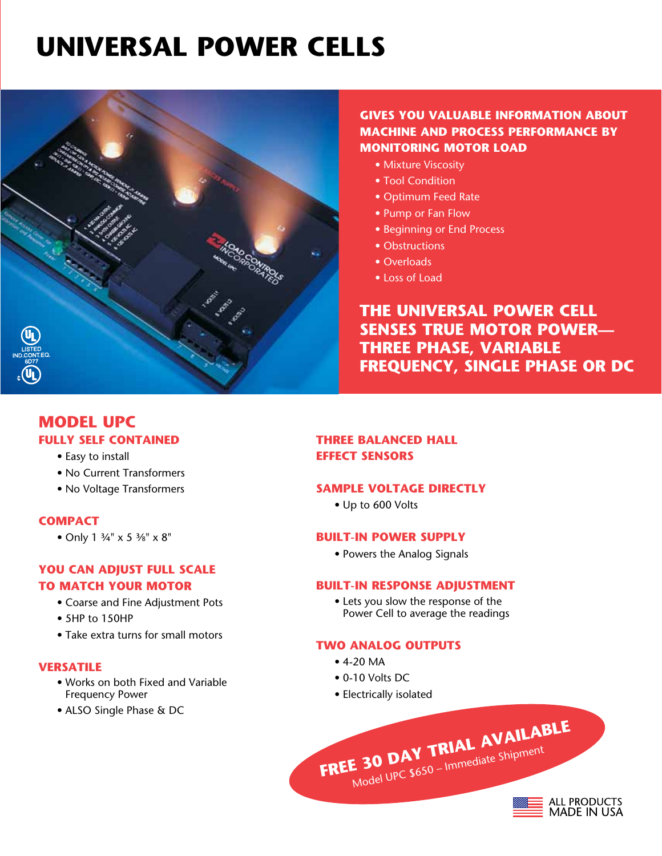# **UNIVERSAL POWER CELLS**



## **GIVEs YOU VALUABLE INFORMATION ABOUT MACHINE AND PROCESS PERFORMANCE BY MONITORING MOTOR LOAD**

- Mixture Viscosity
- Tool Condition
- Optimum Feed Rate
- Pump or Fan Flow
- Beginning or End Process
- Obstructions
- Overloads
- Loss of Load

## **THE UNIVERSAL POWER CELL SENSES TRUE MOTOR POWER— THREE PHASE, VARIABLE FREQUENCY, SINGLE PHASE OR DC**

## **model UPC FULLY SELF CONTAINED**

- Easy to install
- No Current Transformers
- No Voltage Transformers

#### **COMPACT**

• Only 1 ¾" x 5 ³⁄8" x 8"

## **YOU CAN ADJUST FULL SCALE TO MATCH YOUR MOTOR**

- Coarse and Fine Adjustment Pots
- 5HP to 150HP
- Take extra turns for small motors

#### **VERSATILE**

- Works on both Fixed and Variable Frequency Power
- ALSO Single Phase & DC

## **THREE BALANCED HALL EFFECT SENSORS**

#### **SAMPLE VOLTAGE DIRECTLY**

• Up to 600 Volts

## **BUILT-IN POWER SUPPLY**

• Powers the Analog Signals

#### **BUILT-IN RESPONSE ADJUSTMENT**

• Lets you slow the response of the Power Cell to average the readings

**FREE 30 DAY TRIAL AVAILABLE** Model UPC \$650 – Immediate Shipment

**ALL PRODUCTS**<br>MADE IN USA

#### **TWO ANALOG OUTPUTS**

- 4-20 MA
- 0-10 Volts DC
- Electrically isolated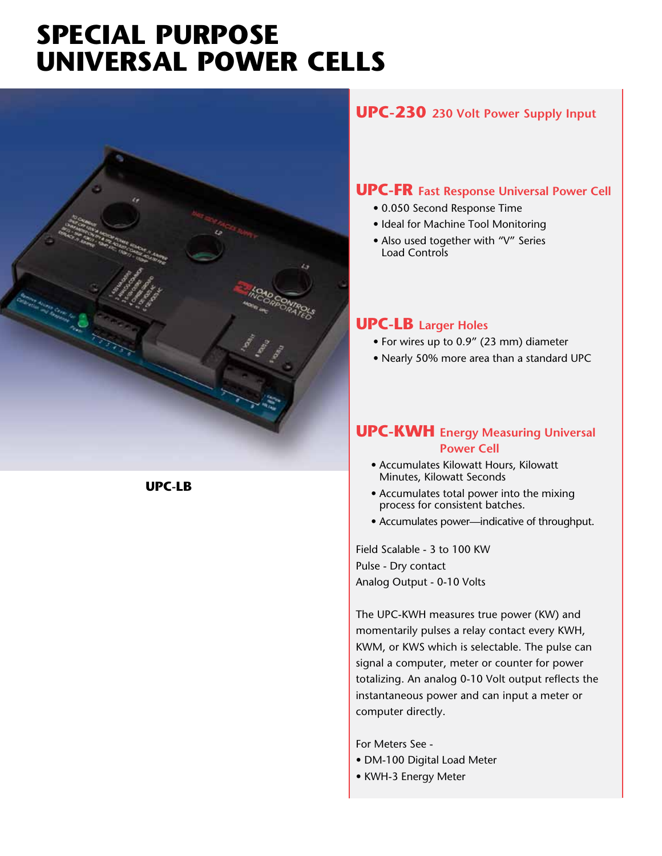## **SPECIAL PURPOSE UNIVERSAL POWER CELLS**



## **UPC-230 230 Volt Power Supply Input**

## **UPC-FR Fast Response Universal Power Cell**

- 0.050 Second Response Time
- Ideal for Machine Tool Monitoring
- Also used together with "V" Series Load Controls

## **UPC-LB Larger Holes**

- For wires up to 0.9" (23 mm) diameter
- Nearly 50% more area than a standard UPC

## **UPC-KWH Energy Measuring Universal Power Cell**

- Accumulates Kilowatt Hours, Kilowatt Minutes, Kilowatt Seconds
- Accumulates total power into the mixing process for consistent batches.
- Accumulates power—indicative of throughput.

Field Scalable - 3 to 100 KW Pulse - Dry contact Analog Output - 0-10 Volts

The UPC-KWH measures true power (KW) and momentarily pulses a relay contact every KWH, KWM, or KWS which is selectable. The pulse can signal a computer, meter or counter for power totalizing. An analog 0-10 Volt output reflects the instantaneous power and can input a meter or computer directly.

For Meters See -

- DM-100 Digital Load Meter
- KWH-3 Energy Meter

**UPC-LB**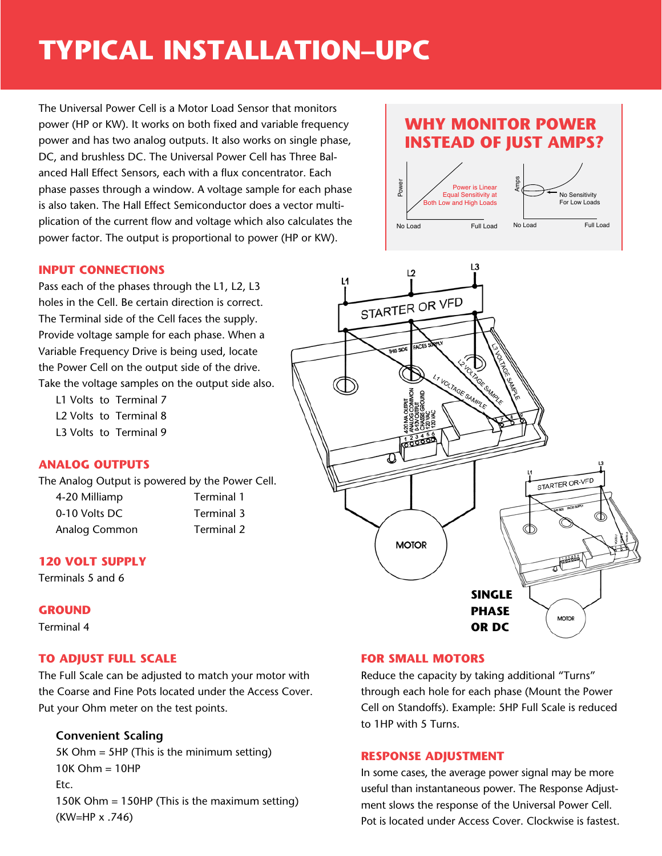# **typical installation–upc**

The Universal Power Cell is a Motor Load Sensor that monitors power (HP or KW). It works on both fixed and variable frequency power and has two analog outputs. It also works on single phase, DC, and brushless DC. The Universal Power Cell has Three Balanced Hall Effect Sensors, each with a flux concentrator. Each phase passes through a window. A voltage sample for each phase is also taken. The Hall Effect Semiconductor does a vector multiplication of the current flow and voltage which also calculates the power factor. The output is proportional to power (HP or KW).

#### **INPUT CONNECTIONS**

Pass each of the phases through the L1, L2, L3 holes in the Cell. Be certain direction is correct. The Terminal side of the Cell faces the supply. Provide voltage sample for each phase. When a Variable Frequency Drive is being used, locate the Power Cell on the output side of the drive. Take the voltage samples on the output side also.

L1 Volts to Terminal 7 L2 Volts to Terminal 8 L3 Volts to Terminal 9

## **ANALOG OUTPUTS**

The Analog Output is powered by the Power Cell.

| 4-20 Milliamp |
|---------------|
| 0-10 Volts DC |
| Analog Commor |

Terminal 1 Terminal 3 n **Terminal 2** 

## **120 VOLT SUPPLY**

Terminals 5 and 6

## **GROUND**

Terminal 4

## **TO ADJUST FULL SCALE**

The Full Scale can be adjusted to match your motor with the Coarse and Fine Pots located under the Access Cover. Put your Ohm meter on the test points.

## **Convenient Scaling**

5K Ohm = 5HP (This is the minimum setting)  $10K$  Ohm =  $10HP$ Etc. 150K Ohm = 150HP (This is the maximum setting) (KW=HP x .746)

## **Why Monitor Power Instead of Just Amps?**





#### **FOR SMALL MOTORS**

Reduce the capacity by taking additional "Turns" through each hole for each phase (Mount the Power Cell on Standoffs). Example: 5HP Full Scale is reduced to 1HP with 5 Turns.

#### **RESPONSE ADJUSTMENT**

In some cases, the average power signal may be more useful than instantaneous power. The Response Adjustment slows the response of the Universal Power Cell. Pot is located under Access Cover. Clockwise is fastest.